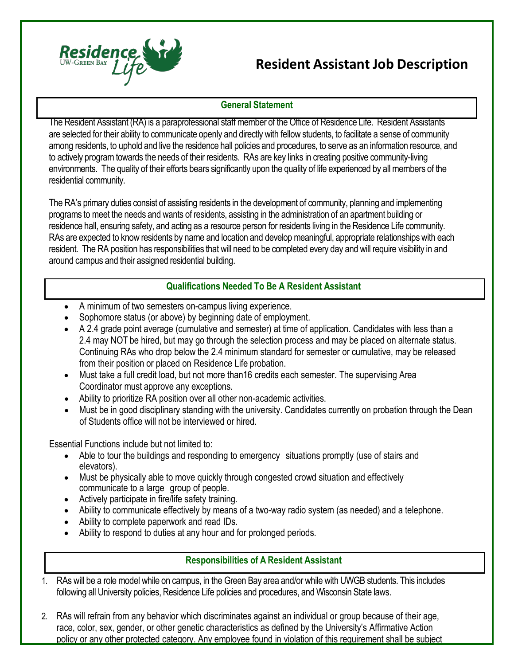

## **Resident Assistant Job Description**

## **General Statement**

The Resident Assistant (RA) is a paraprofessional staff member of the Office of Residence Life. Resident Assistants are selected for their ability to communicate openly and directly with fellow students, to facilitate a sense of community among residents, to uphold and live the residence hall policies and procedures, to serve as an information resource, and to actively program towards the needs of their residents. RAs are key links in creating positive community-living environments. The quality of their efforts bears significantly upon the quality of life experienced by all members of the residential community.

The RA's primary duties consist of assisting residents in the development of community, planning and implementing programs to meet the needs and wants of residents, assisting in the administration of an apartment building or residence hall, ensuring safety, and acting as a resource person for residents living in the Residence Life community. RAs are expected to know residents by name and location and develop meaningful, appropriate relationships with each resident. The RA position has responsibilities that will need to be completed every day and will require visibility in and around campus and their assigned residential building.

## **Qualifications Needed To Be A Resident Assistant**

- A minimum of two semesters on-campus living experience.
- Sophomore status (or above) by beginning date of employment.
- A 2.4 grade point average (cumulative and semester) at time of application. Candidates with less than a 2.4 may NOT be hired, but may go through the selection process and may be placed on alternate status. Continuing RAs who drop below the 2.4 minimum standard for semester or cumulative, may be released from their position or placed on Residence Life probation.
- Must take a full credit load, but not more than16 credits each semester. The supervising Area Coordinator must approve any exceptions.
- Ability to prioritize RA position over all other non-academic activities.
- Must be in good disciplinary standing with the university. Candidates currently on probation through the Dean of Students office will not be interviewed or hired.

Essential Functions include but not limited to:

- Able to tour the buildings and responding to emergency situations promptly (use of stairs and elevators).
- Must be physically able to move quickly through congested crowd situation and effectively communicate to a large group of people.
- Actively participate in fire/life safety training.
- Ability to communicate effectively by means of a two-way radio system (as needed) and a telephone.
- Ability to complete paperwork and read IDs.
- Ability to respond to duties at any hour and for prolonged periods.

## **Responsibilities of A Resident Assistant**

- 1. RAs will be a role model while on campus, in the Green Bay area and/or while with UWGB students. This includes following all University policies, Residence Life policies and procedures, and Wisconsin State laws.
- 2. RAs will refrain from any behavior which discriminates against an individual or group because of their age, race, color, sex, gender, or other genetic characteristics as defined by the University's Affirmative Action policy or any other protected category. Any employee found in violation of this requirement shall be subject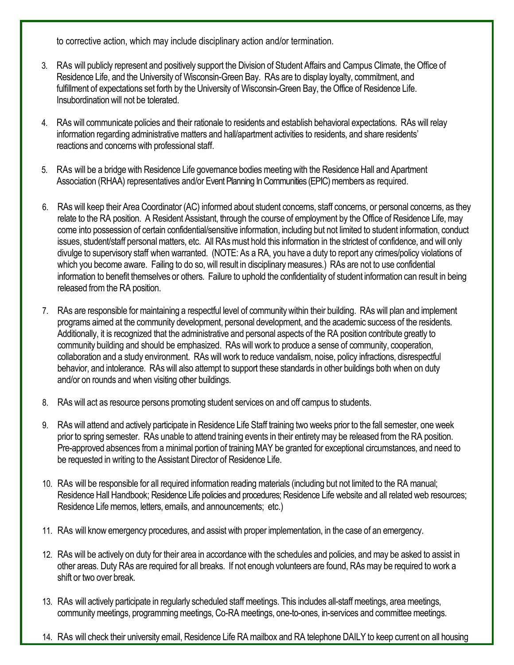to corrective action, which may include disciplinary action and/or termination.

- 3. RAs will publicly represent and positively support the Division of Student Affairs and Campus Climate, the Office of Residence Life, and the University of Wisconsin-Green Bay. RAs are to display loyalty, commitment, and fulfillment of expectations set forth by the University of Wisconsin-Green Bay, the Office of Residence Life. Insubordination will not be tolerated.
- 4. RAs will communicate policies and their rationale to residents and establish behavioral expectations. RAs will relay information regarding administrative matters and hall/apartment activities to residents, and share residents' reactions and concerns with professional staff.
- 5. RAs will be a bridge with Residence Life governance bodiesmeeting with the Residence Hall and Apartment Association (RHAA) representatives and/or Event Planning In Communities (EPIC) members as required.
- 6. RAs will keep their Area Coordinator (AC) informed about student concerns, staff concerns, or personal concerns, as they relate to the RA position. A Resident Assistant, through the course of employment by the Office of Residence Life, may come into possession of certain confidential/sensitive information, including but not limited to student information, conduct issues, student/staff personal matters, etc. All RAs must hold this information in the strictest of confidence, and will only divulge to supervisory staff when warranted. (NOTE: As a RA, you have a duty to report any crimes/policy violations of which you become aware. Failing to do so, will result in disciplinary measures.) RAs are not to use confidential information to benefit themselves or others. Failure to uphold the confidentiality of student information can result in being released from the RA position.
- 7. RAs are responsible formaintaining a respectful level of community within their building. RAs will plan and implement programs aimed at the community development, personal development, and the academic success of the residents. Additionally, it is recognized that the administrative and personal aspects of the RA position contribute greatly to community building and should be emphasized. RAs will work to produce a sense of community, cooperation, collaboration and a study environment. RAs will work to reduce vandalism, noise, policy infractions, disrespectful behavior, and intolerance. RAs will also attempt to support these standards in other buildings both when on duty and/or on rounds and when visiting other buildings.
- 8. RAs will act as resource persons promoting student services on and off campus to students.
- 9. RAs will attend and actively participate in Residence Life Staff training two weeks prior to the fall semester, one week prior to spring semester. RAs unable to attend training events in their entiretymay be released fromthe RA position. Pre-approved absences from a minimal portion of training MAY be granted for exceptional circumstances, and need to be requested in writing to the Assistant Director of Residence Life.
- 10. RAs will be responsible for all required information reading materials (including but not limited to the RA manual; Residence Hall Handbook; Residence Life policies and procedures; Residence Life website and all related web resources; Residence Life memos, letters, emails, and announcements; etc.)
- 11. RAs will know emergency procedures, and assist with proper implementation, in the case of an emergency.
- 12. RAs will be actively on duty for their area in accordance with the schedules and policies, and may be asked to assist in other areas. Duty RAs are required for all breaks. If not enough volunteers are found, RAsmay be required to work a shift or two over break.
- 13. RAs will actively participate in regularly scheduled staff meetings. This includes all-staffmeetings, area meetings, community meetings, programming meetings, Co-RA meetings, one-to-ones, in-services and committee meetings.
- 14. RAs will check their university email, Residence Life RA mailbox and RA telephone DAILY to keep current on all housing